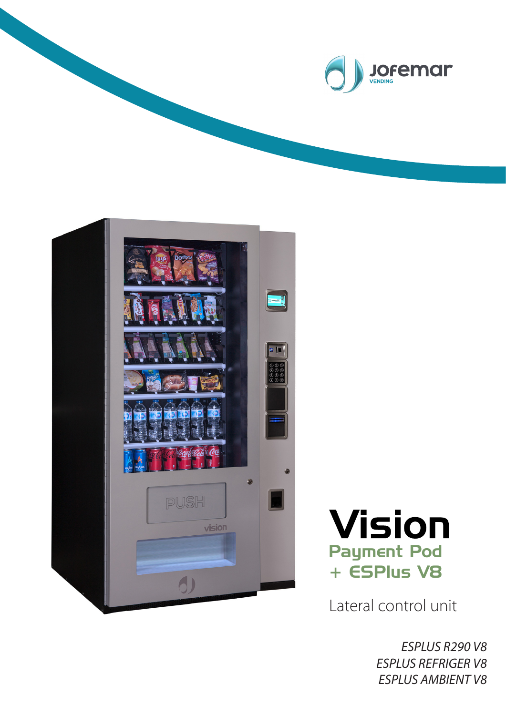





Lateral control unit

*ESPLUS R290 V8 ESPLUS REFRIGER V8 ESPLUS AMBIENT V8*